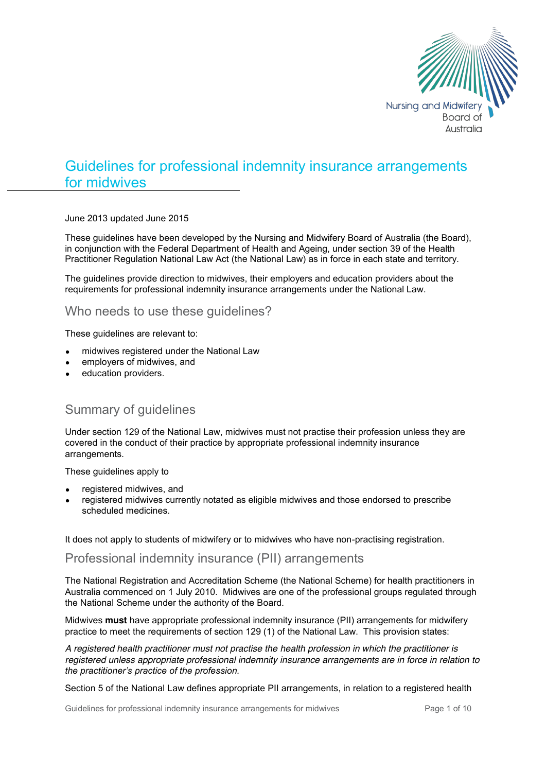

# Guidelines for professional indemnity insurance arrangements for midwives

June 2013 updated June 2015

These guidelines have been developed by the Nursing and Midwifery Board of Australia (the Board), in conjunction with the Federal Department of Health and Ageing, under section 39 of the Health Practitioner Regulation National Law Act (the National Law) as in force in each state and territory.

The guidelines provide direction to midwives, their employers and education providers about the requirements for professional indemnity insurance arrangements under the National Law.

# Who needs to use these guidelines?

These guidelines are relevant to:

- midwives registered under the National Law
- employers of midwives, and
- education providers.

# Summary of guidelines

Under section 129 of the National Law, midwives must not practise their profession unless they are covered in the conduct of their practice by appropriate professional indemnity insurance arrangements.

These guidelines apply to

- registered midwives, and
- registered midwives currently notated as eligible midwives and those endorsed to prescribe scheduled medicines.

It does not apply to students of midwifery or to midwives who have non-practising registration.

# Professional indemnity insurance (PII) arrangements

The National Registration and Accreditation Scheme (the National Scheme) for health practitioners in Australia commenced on 1 July 2010. Midwives are one of the professional groups regulated through the National Scheme under the authority of the Board*.*

Midwives **must** have appropriate professional indemnity insurance (PII) arrangements for midwifery practice to meet the requirements of section 129 (1) of the National Law. This provision states:

*A registered health practitioner must not practise the health profession in which the practitioner is registered unless appropriate professional indemnity insurance arrangements are in force in relation to the practitioner's practice of the profession.*

Section 5 of the National Law defines appropriate PII arrangements, in relation to a registered health

Guidelines for professional indemnity insurance arrangements for midwives Page 1 of 10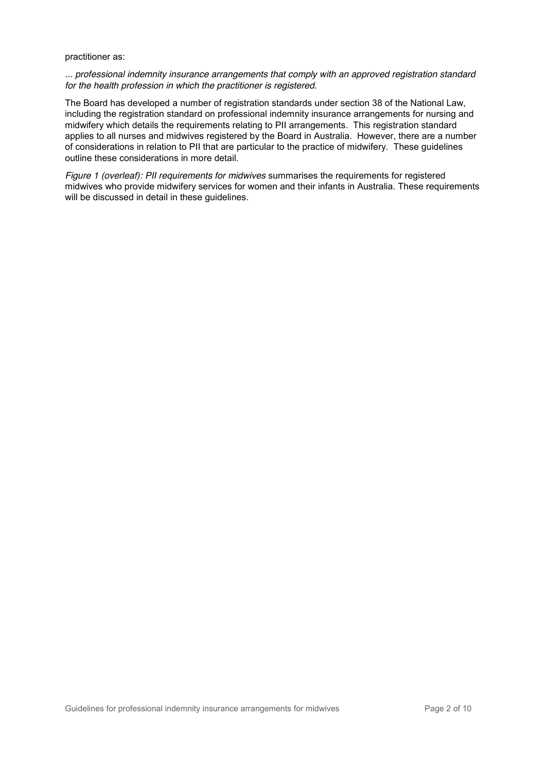#### practitioner as:

*... professional indemnity insurance arrangements that comply with an approved registration standard for the health profession in which the practitioner is registered.*

The Board has developed a number of registration standards under section 38 of the National Law, including the registration standard on professional indemnity insurance arrangements for nursing and midwifery which details the requirements relating to PII arrangements. This registration standard applies to all nurses and midwives registered by the Board in Australia. However, there are a number of considerations in relation to PII that are particular to the practice of midwifery. These guidelines outline these considerations in more detail.

*Figure 1 (overleaf): PII requirements for midwives* summarises the requirements for registered midwives who provide midwifery services for women and their infants in Australia. These requirements will be discussed in detail in these guidelines.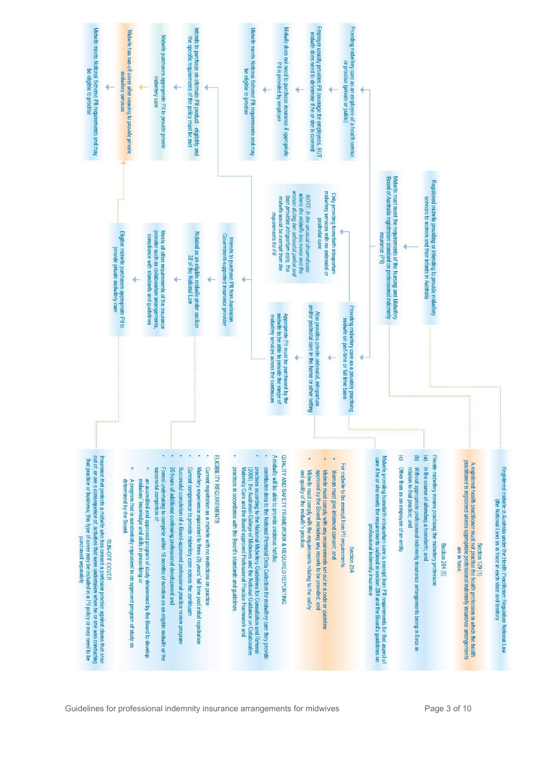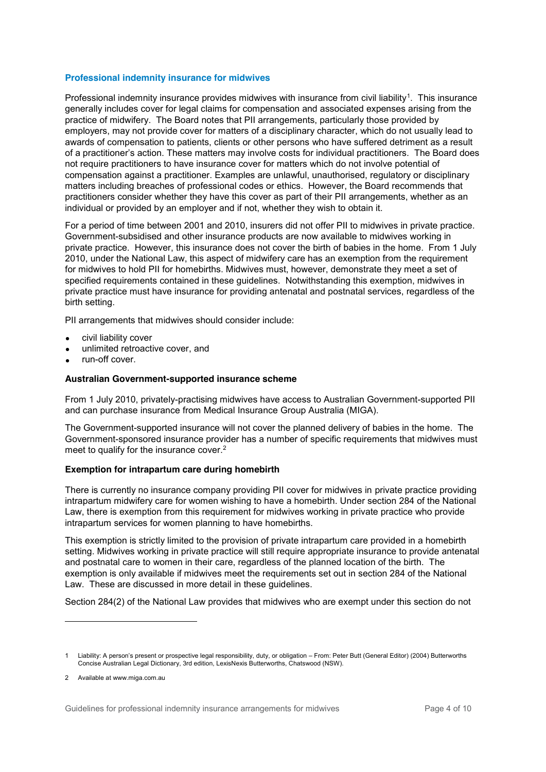#### **Professional indemnity insurance for midwives**

Professional indemnity insurance provides midwives with insurance from civil liability<sup>1</sup>. This insurance generally includes cover for legal claims for compensation and associated expenses arising from the practice of midwifery. The Board notes that PII arrangements, particularly those provided by employers, may not provide cover for matters of a disciplinary character, which do not usually lead to awards of compensation to patients, clients or other persons who have suffered detriment as a result of a practitioner's action. These matters may involve costs for individual practitioners. The Board does not require practitioners to have insurance cover for matters which do not involve potential of compensation against a practitioner. Examples are unlawful, unauthorised, regulatory or disciplinary matters including breaches of professional codes or ethics. However, the Board recommends that practitioners consider whether they have this cover as part of their PII arrangements, whether as an individual or provided by an employer and if not, whether they wish to obtain it.

For a period of time between 2001 and 2010, insurers did not offer PII to midwives in private practice. Government-subsidised and other insurance products are now available to midwives working in private practice. However, this insurance does not cover the birth of babies in the home. From 1 July 2010, under the National Law, this aspect of midwifery care has an exemption from the requirement for midwives to hold PII for homebirths. Midwives must, however, demonstrate they meet a set of specified requirements contained in these guidelines. Notwithstanding this exemption, midwives in private practice must have insurance for providing antenatal and postnatal services, regardless of the birth setting.

PII arrangements that midwives should consider include:

- civil liability cover
- unlimited retroactive cover, and
- run-off cover.

#### **Australian Government-supported insurance scheme**

From 1 July 2010, privately-practising midwives have access to Australian Government-supported PII and can purchase insurance from Medical Insurance Group Australia (MIGA).

The Government-supported insurance will not cover the planned delivery of babies in the home. The Government-sponsored insurance provider has a number of specific requirements that midwives must meet to qualify for the insurance cover.<sup>2</sup>

#### **Exemption for intrapartum care during homebirth**

There is currently no insurance company providing PII cover for midwives in private practice providing intrapartum midwifery care for women wishing to have a homebirth. Under section 284 of the National Law, there is exemption from this requirement for midwives working in private practice who provide intrapartum services for women planning to have homebirths.

This exemption is strictly limited to the provision of private intrapartum care provided in a homebirth setting. Midwives working in private practice will still require appropriate insurance to provide antenatal and postnatal care to women in their care, regardless of the planned location of the birth. The exemption is only available if midwives meet the requirements set out in section 284 of the National Law. These are discussed in more detail in these guidelines.

Section 284(2) of the National Law provides that midwives who are exempt under this section do not

 $\overline{a}$ 

<sup>1</sup> Liability: A person's present or prospective legal responsibility, duty, or obligation – From: Peter Butt (General Editor) (2004) Butterworths Concise Australian Legal Dictionary, 3rd edition, LexisNexis Butterworths, Chatswood (NSW).

<sup>2</sup> Available at www.miga.com.au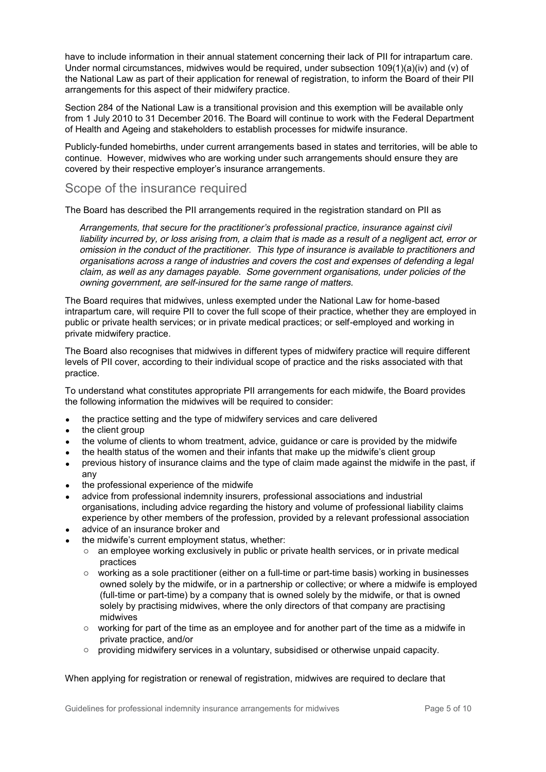have to include information in their annual statement concerning their lack of PII for intrapartum care. Under normal circumstances, midwives would be required, under subsection 109(1)(a)(iv) and (v) of the National Law as part of their application for renewal of registration, to inform the Board of their PII arrangements for this aspect of their midwifery practice.

Section 284 of the National Law is a transitional provision and this exemption will be available only from 1 July 2010 to 31 December 2016. The Board will continue to work with the Federal Department of Health and Ageing and stakeholders to establish processes for midwife insurance.

Publicly-funded homebirths, under current arrangements based in states and territories, will be able to continue. However, midwives who are working under such arrangements should ensure they are covered by their respective employer's insurance arrangements.

### Scope of the insurance required

The Board has described the PII arrangements required in the registration standard on PII as

*Arrangements, that secure for the practitioner's professional practice, insurance against civil liability incurred by, or loss arising from, a claim that is made as a result of a negligent act, error or omission in the conduct of the practitioner. This type of insurance is available to practitioners and organisations across a range of industries and covers the cost and expenses of defending a legal claim, as well as any damages payable. Some government organisations, under policies of the owning government, are self-insured for the same range of matters.*

The Board requires that midwives, unless exempted under the National Law for home-based intrapartum care, will require PII to cover the full scope of their practice, whether they are employed in public or private health services; or in private medical practices; or self-employed and working in private midwifery practice.

The Board also recognises that midwives in different types of midwifery practice will require different levels of PII cover, according to their individual scope of practice and the risks associated with that practice.

To understand what constitutes appropriate PII arrangements for each midwife, the Board provides the following information the midwives will be required to consider:

- the practice setting and the type of midwifery services and care delivered
- the client group
- the volume of clients to whom treatment, advice, guidance or care is provided by the midwife
- the health status of the women and their infants that make up the midwife's client group
- previous history of insurance claims and the type of claim made against the midwife in the past, if any
- the professional experience of the midwife
- advice from professional indemnity insurers, professional associations and industrial organisations, including advice regarding the history and volume of professional liability claims experience by other members of the profession, provided by a relevant professional association
- advice of an insurance broker and
- the midwife's current employment status, whether:
	- $\circ$  an employee working exclusively in public or private health services, or in private medical practices
	- $\circ$  working as a sole practitioner (either on a full-time or part-time basis) working in businesses owned solely by the midwife, or in a partnership or collective; or where a midwife is employed (full-time or part-time) by a company that is owned solely by the midwife, or that is owned solely by practising midwives, where the only directors of that company are practising midwives
	- $\circ$  working for part of the time as an employee and for another part of the time as a midwife in private practice, and/or
	- $\circ$  providing midwifery services in a voluntary, subsidised or otherwise unpaid capacity.

When applying for registration or renewal of registration, midwives are required to declare that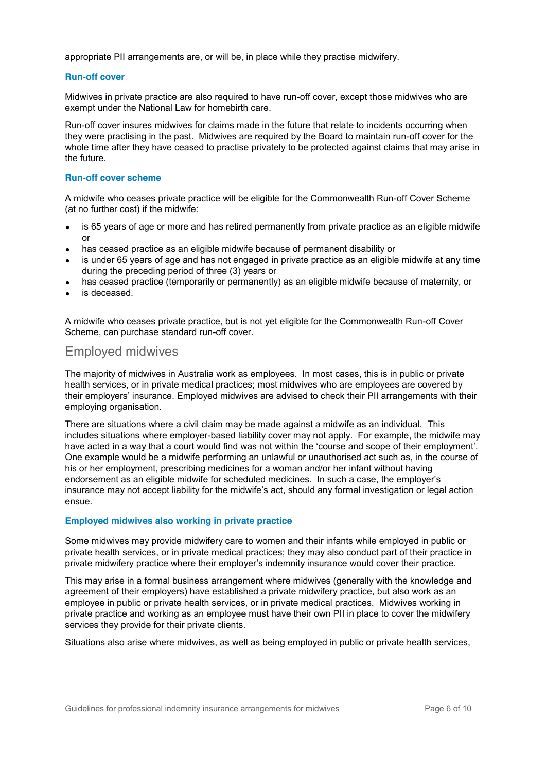appropriate PII arrangements are, or will be, in place while they practise midwifery.

#### **Run-off cover**

Midwives in private practice are also required to have run-off cover, except those midwives who are exempt under the National Law for homebirth care.

Run-off cover insures midwives for claims made in the future that relate to incidents occurring when they were practising in the past. Midwives are required by the Board to maintain run-off cover for the whole time after they have ceased to practise privately to be protected against claims that may arise in the future.

#### **Run-off cover scheme**

A midwife who ceases private practice will be eligible for the Commonwealth Run-off Cover Scheme (at no further cost) if the midwife:

- is 65 years of age or more and has retired permanently from private practice as an eligible midwife or
- has ceased practice as an eligible midwife because of permanent disability or
- is under 65 years of age and has not engaged in private practice as an eligible midwife at any time during the preceding period of three (3) years or
- has ceased practice (temporarily or permanently) as an eligible midwife because of maternity, or
- is deceased.

A midwife who ceases private practice, but is not yet eligible for the Commonwealth Run-off Cover Scheme, can purchase standard run-off cover.

### Employed midwives

The majority of midwives in Australia work as employees. In most cases, this is in public or private health services, or in private medical practices; most midwives who are employees are covered by their employers' insurance. Employed midwives are advised to check their PII arrangements with their employing organisation.

There are situations where a civil claim may be made against a midwife as an individual. This includes situations where employer-based liability cover may not apply. For example, the midwife may have acted in a way that a court would find was not within the 'course and scope of their employment'. One example would be a midwife performing an unlawful or unauthorised act such as, in the course of his or her employment, prescribing medicines for a woman and/or her infant without having endorsement as an eligible midwife for scheduled medicines. In such a case, the employer's insurance may not accept liability for the midwife's act, should any formal investigation or legal action ensue.

#### **Employed midwives also working in private practice**

Some midwives may provide midwifery care to women and their infants while employed in public or private health services, or in private medical practices; they may also conduct part of their practice in private midwifery practice where their employer's indemnity insurance would cover their practice.

This may arise in a formal business arrangement where midwives (generally with the knowledge and agreement of their employers) have established a private midwifery practice, but also work as an employee in public or private health services, or in private medical practices. Midwives working in private practice and working as an employee must have their own PII in place to cover the midwifery services they provide for their private clients.

Situations also arise where midwives, as well as being employed in public or private health services,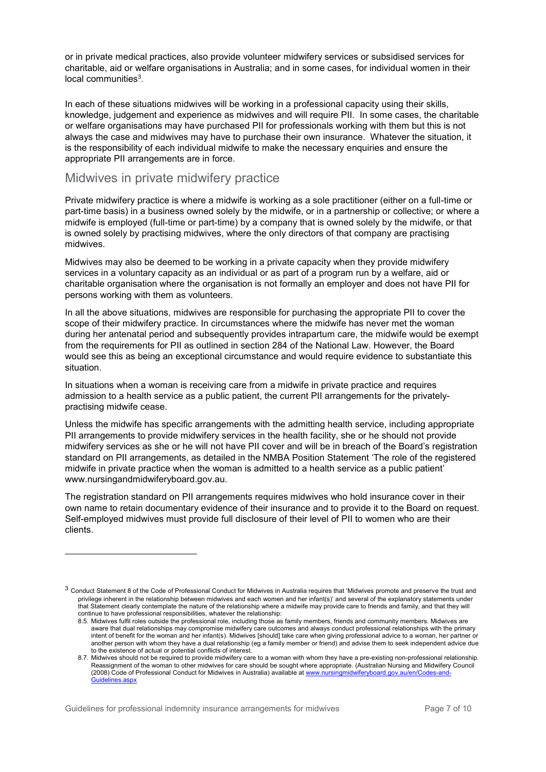or in private medical practices, also provide volunteer midwifery services or subsidised services for charitable, aid or welfare organisations in Australia; and in some cases, for individual women in their local communities3.

In each of these situations midwives will be working in a professional capacity using their skills, knowledge, judgement and experience as midwives and will require PII. In some cases, the charitable or welfare organisations may have purchased PII for professionals working with them but this is not always the case and midwives may have to purchase their own insurance. Whatever the situation, it is the responsibility of each individual midwife to make the necessary enquiries and ensure the appropriate PII arrangements are in force.

### Midwives in private midwifery practice

Private midwifery practice is where a midwife is working as a sole practitioner (either on a full-time or part-time basis) in a business owned solely by the midwife, or in a partnership or collective; or where a midwife is employed (full-time or part-time) by a company that is owned solely by the midwife, or that is owned solely by practising midwives, where the only directors of that company are practising midwives.

Midwives may also be deemed to be working in a private capacity when they provide midwifery services in a voluntary capacity as an individual or as part of a program run by a welfare, aid or charitable organisation where the organisation is not formally an employer and does not have PII for persons working with them as volunteers.

In all the above situations, midwives are responsible for purchasing the appropriate PII to cover the scope of their midwifery practice. In circumstances where the midwife has never met the woman during her antenatal period and subsequently provides intrapartum care, the midwife would be exempt from the requirements for PII as outlined in section 284 of the National Law. However, the Board would see this as being an exceptional circumstance and would require evidence to substantiate this situation.

In situations when a woman is receiving care from a midwife in private practice and requires admission to a health service as a public patient, the current PII arrangements for the privatelypractising midwife cease.

Unless the midwife has specific arrangements with the admitting health service, including appropriate PII arrangements to provide midwifery services in the health facility, she or he should not provide midwifery services as she or he will not have PII cover and will be in breach of the Board's registration standard on PII arrangements, as detailed in the NMBA Position Statement 'The role of the registered midwife in private practice when the woman is admitted to a health service as a public patient' www.nursingandmidwiferyboard.gov.au.

The registration standard on PII arrangements requires midwives who hold insurance cover in their own name to retain documentary evidence of their insurance and to provide it to the Board on request. Self-employed midwives must provide full disclosure of their level of PII to women who are their clients.

Guidelines for professional indemnity insurance arrangements for midwives Page 7 of 10

 $\overline{a}$ 

<sup>3</sup> Conduct Statement 8 of the Code of Professional Conduct for Midwives in Australia requires that 'Midwives promote and preserve the trust and privilege inherent in the relationship between midwives and each women and her infant(s)' and several of the explanatory statements under that Statement clearly contemplate the nature of the relationship where a midwife may provide care to friends and family, and that they will continue to have professional responsibilities, whatever the relationship:

<sup>8.5.</sup> Midwives fulfil roles outside the professional role, including those as family members, friends and community members. Midwives are aware that dual relationships may compromise midwifery care outcomes and always conduct professional relationships with the primary intent of benefit for the woman and her infant(s). Midwives [should] take care when giving professional advice to a woman, her partner or another person with whom they have a dual relationship (eg a family member or friend) and advise them to seek independent advice due to the existence of actual or potential conflicts of interest.

<sup>8.7.</sup> Midwives should not be required to provide midwifery care to a woman with whom they have a pre-existing non-professional relationship. Reassignment of the woman to other midwives for care should be sought where appropriate. (Australian Nursing and Midwifery Council (2008) Code of Professional Conduct for Midwives in Australia) available at www.nursingmidwiferyboard.gov.au/en/Codes-and-Guidelines aspx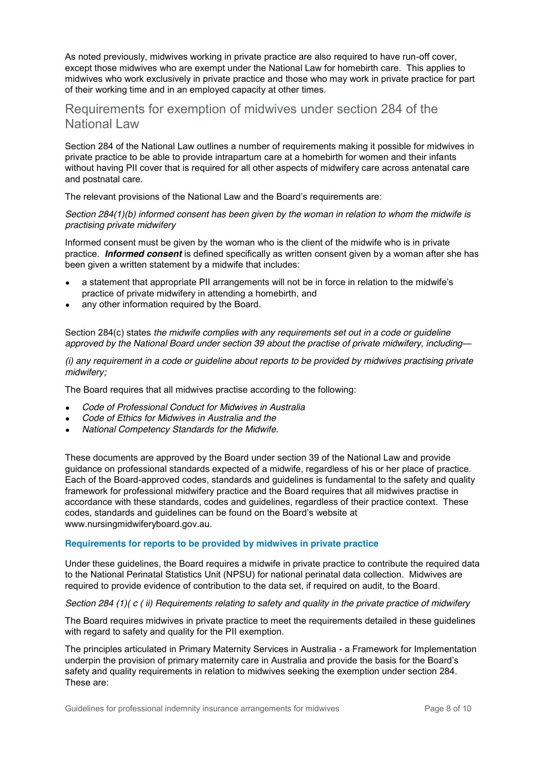As noted previously, midwives working in private practice are also required to have run-off cover, except those midwives who are exempt under the National Law for homebirth care. This applies to midwives who work exclusively in private practice and those who may work in private practice for part of their working time and in an employed capacity at other times.

## Requirements for exemption of midwives under section 284 of the National Law

Section 284 of the National Law outlines a number of requirements making it possible for midwives in private practice to be able to provide intrapartum care at a homebirth for women and their infants without having PII cover that is required for all other aspects of midwifery care across antenatal care and postnatal care.

The relevant provisions of the National Law and the Board's requirements are:

*Section 284(1)(b) informed consent has been given by the woman in relation to whom the midwife is practising private midwifery*

Informed consent must be given by the woman who is the client of the midwife who is in private practice. *Informed consent* is defined specifically as written consent given by a woman after she has been given a written statement by a midwife that includes:

- a statement that appropriate PII arrangements will not be in force in relation to the midwife's practice of private midwifery in attending a homebirth, and
- any other information required by the Board.

Section 284(c) states *the midwife complies with any requirements set out in a code or guideline approved by the National Board under section 39 about the practise of private midwifery, including—*

*(i) any requirement in a code or guideline about reports to be provided by midwives practising private midwifery;*

The Board requires that all midwives practise according to the following:

- x *Code of Professional Conduct for Midwives in Australia*
- x *Code of Ethics for Midwives in Australia and the*
- x *National Competency Standards for the Midwife.*

These documents are approved by the Board under section 39 of the National Law and provide guidance on professional standards expected of a midwife, regardless of his or her place of practice. Each of the Board-approved codes, standards and guidelines is fundamental to the safety and quality framework for professional midwifery practice and the Board requires that all midwives practise in accordance with these standards, codes and guidelines, regardless of their practice context. These codes, standards and guidelines can be found on the Board's website at www.nursingmidwiferyboard.gov.au.

#### **Requirements for reports to be provided by midwives in private practice**

Under these guidelines, the Board requires a midwife in private practice to contribute the required data to the National Perinatal Statistics Unit (NPSU) for national perinatal data collection. Midwives are required to provide evidence of contribution to the data set, if required on audit, to the Board.

#### *Section 284 (1)( c ( ii) Requirements relating to safety and quality in the private practice of midwifery*

The Board requires midwives in private practice to meet the requirements detailed in these guidelines with regard to safety and quality for the PII exemption.

The principles articulated in Primary Maternity Services in Australia - a Framework for Implementation underpin the provision of primary maternity care in Australia and provide the basis for the Board's safety and quality requirements in relation to midwives seeking the exemption under section 284. These are: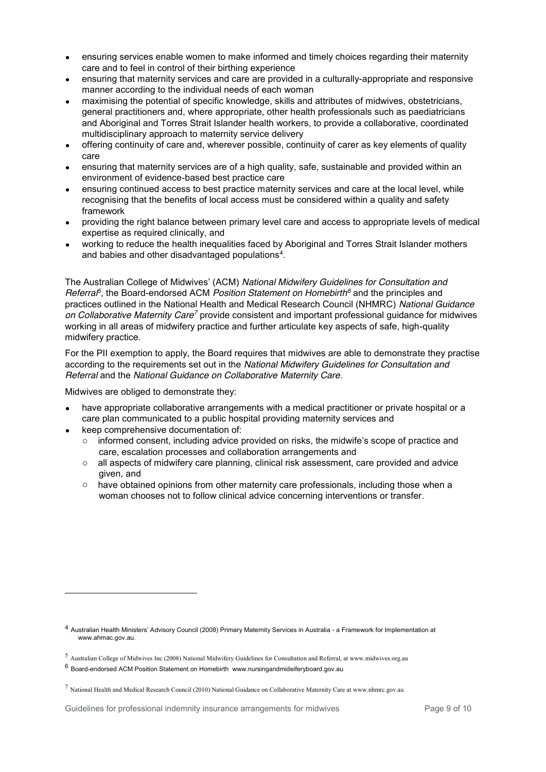- x ensuring services enable women to make informed and timely choices regarding their maternity care and to feel in control of their birthing experience
- x ensuring that maternity services and care are provided in a culturally-appropriate and responsive manner according to the individual needs of each woman
- maximising the potential of specific knowledge, skills and attributes of midwives, obstetricians, general practitioners and, where appropriate, other health professionals such as paediatricians and Aboriginal and Torres Strait Islander health workers, to provide a collaborative, coordinated multidisciplinary approach to maternity service delivery
- x offering continuity of care and, wherever possible, continuity of carer as key elements of quality care
- x ensuring that maternity services are of a high quality, safe, sustainable and provided within an environment of evidence-based best practice care
- ensuring continued access to best practice maternity services and care at the local level, while recognising that the benefits of local access must be considered within a quality and safety framework
- x providing the right balance between primary level care and access to appropriate levels of medical expertise as required clinically, and
- x working to reduce the health inequalities faced by Aboriginal and Torres Strait Islander mothers and babies and other disadvantaged populations<sup>4</sup>.

The Australian College of Midwives' (ACM) *National Midwifery Guidelines for Consultation and Referral<sup>5</sup>* , the Board-endorsed ACM *Position Statement on Homebirth<sup>6</sup>* and the principles and practices outlined in the National Health and Medical Research Council (NHMRC) *National Guidance on Collaborative Maternity Care<sup>7</sup>* provide consistent and important professional guidance for midwives working in all areas of midwifery practice and further articulate key aspects of safe, high-quality midwifery practice.

For the PII exemption to apply, the Board requires that midwives are able to demonstrate they practise according to the requirements set out in the *National Midwifery Guidelines for Consultation and Referral* and the *National Guidance on Collaborative Maternity Care*.

Midwives are obliged to demonstrate they:

- have appropriate collaborative arrangements with a medical practitioner or private hospital or a care plan communicated to a public hospital providing maternity services and
- x keep comprehensive documentation of:

 $\overline{a}$ 

- o informed consent, including advice provided on risks, the midwife's scope of practice and care, escalation processes and collaboration arrangements and
- $\circ$  all aspects of midwifery care planning, clinical risk assessment, care provided and advice given, and
- $\circ$  have obtained opinions from other maternity care professionals, including those when a woman chooses not to follow clinical advice concerning interventions or transfer.

Guidelines for professional indemnity insurance arrangements for midwives Page 9 of 10

<sup>4</sup> Australian Health Ministers' Advisory Council (2008) Primary Maternity Services in Australia - a Framework for Implementation at www.ahmac.gov.au.

<sup>5</sup> Australian College of Midwives Inc (2008) National Midwifery Guidelines for Consultation and Referral, at www.midwives.org.au

 $6$  Board-endorsed ACM Position Statement on Homebirth www.nursingandmideiferyboard.gov.au

<sup>7</sup> National Health and Medical Research Council (2010) National Guidance on Collaborative Maternity Care at www.nhmrc.gov.au